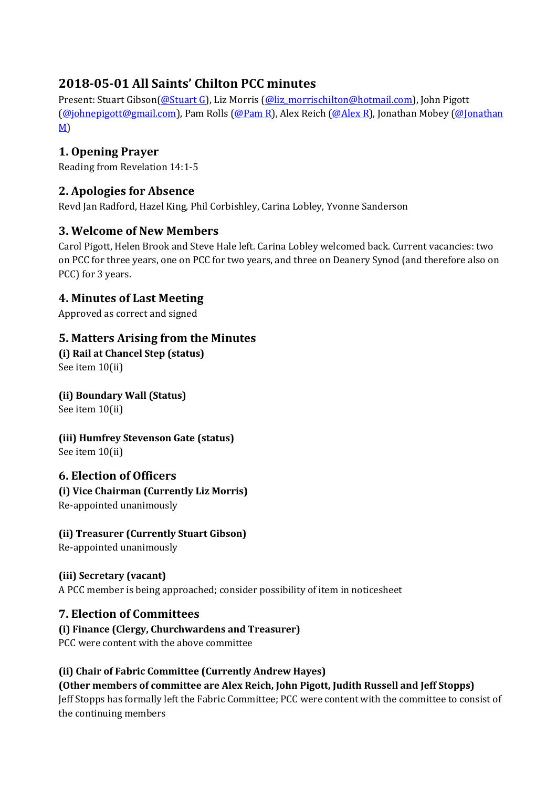## **2018-05-01 All Saints' Chilton PCC minutes**

Present: Stuart Gibson[\(@Stuart G\)](/ep/profile/1gg9uA1iUgdDmqkTo2qovwsz8LZqvbJ82xfK3b5aRiukpRbXX2i1), Liz Morris [\(@liz\\_morrischilton@hotmail.com\)](/ep/profile/iX86Va0dCNNJDjPG9iZ9fkkBwi2o1caBrWQQ1t4WX1o8X8pGEW), John Pigott [\(@johnepigott@gmail.com\)](/ep/profile/1gg9uA1iUgdDmqkTo2qovwswMDyngk1hlrrhyRzgTtPhpEYmib3N), Pam Rolls [\(@Pam R\)](/ep/profile/iX86Va0dCNNJDjPG9iZ9pj8ZvSfSTT7MIrzQlFtMauy0iW28g1), Alex Reich [\(@Alex R\)](/ep/profile/iX86Va0dCNNJDjPG9iZ8gQhdOESNhbh2lvdTGTpxTvpXPsnTA1), Jonathan Mobey [\(@Jonathan](/ep/profile/iX86Va0dCNNJDjPG9iZ9pqxkTGKs0AQklikl1ZkLpIAlfiSgrO)  [M\)](/ep/profile/iX86Va0dCNNJDjPG9iZ9pqxkTGKs0AQklikl1ZkLpIAlfiSgrO)

## **1. Opening Prayer**

Reading from Revelation 14:1-5

## **2. Apologies for Absence**

Revd Jan Radford, Hazel King, Phil Corbishley, Carina Lobley, Yvonne Sanderson

## **3. Welcome of New Members**

Carol Pigott, Helen Brook and Steve Hale left. Carina Lobley welcomed back. Current vacancies: two on PCC for three years, one on PCC for two years, and three on Deanery Synod (and therefore also on PCC) for 3 years.

## **4. Minutes of Last Meeting**

Approved as correct and signed

## **5. Matters Arising from the Minutes**

**(i) Rail at Chancel Step (status)** See item 10(ii)

## **(ii) Boundary Wall (Status)**

See item 10(ii)

**(iii) Humfrey Stevenson Gate (status)** See item 10(ii)

**6. Election of Officers**

# **(i) Vice Chairman (Currently Liz Morris)**

Re-appointed unanimously

#### **(ii) Treasurer (Currently Stuart Gibson)**

Re-appointed unanimously

#### **(iii) Secretary (vacant)**

A PCC member is being approached; consider possibility of item in noticesheet

## **7. Election of Committees**

#### **(i) Finance (Clergy, Churchwardens and Treasurer)**

PCC were content with the above committee

#### **(ii) Chair of Fabric Committee (Currently Andrew Hayes)**

**(Other members of committee are Alex Reich, John Pigott, Judith Russell and Jeff Stopps)** Jeff Stopps has formally left the Fabric Committee; PCC were content with the committee to consist of the continuing members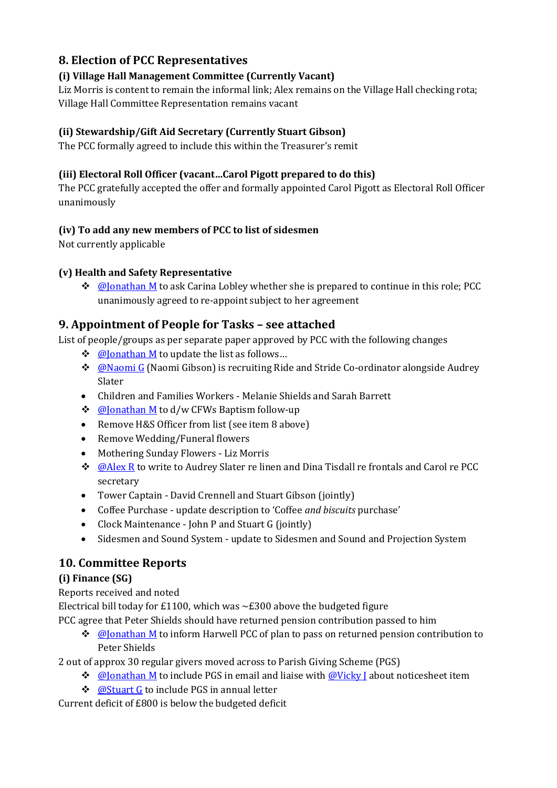## **8. Election of PCC Representatives**

#### **(i) Village Hall Management Committee (Currently Vacant)**

Liz Morris is content to remain the informal link; Alex remains on the Village Hall checking rota; Village Hall Committee Representation remains vacant

#### **(ii) Stewardship/Gift Aid Secretary (Currently Stuart Gibson)**

The PCC formally agreed to include this within the Treasurer's remit

#### **(iii) Electoral Roll Officer (vacant…Carol Pigott prepared to do this)**

The PCC gratefully accepted the offer and formally appointed Carol Pigott as Electoral Roll Officer unanimously

#### **(iv) To add any new members of PCC to list of sidesmen**

Not currently applicable

#### **(v) Health and Safety Representative**

 $\bullet$  [@Jonathan M](/ep/profile/iX86Va0dCNNJDjPG9iZ9pqxkTGKs0AQklikl1ZkLpIAlfiSgrO) to ask Carina Lobley whether she is prepared to continue in this role; PCC unanimously agreed to re-appoint subject to her agreement

#### **9. Appointment of People for Tasks – see attached**

List of people/groups as per separate paper approved by PCC with the following changes

- ❖ **@**Jonathan M to update the list as follows...
- ◆ **[@Naomi G](/ep/profile/1gg9uA1iUgdDmqkTo2qovwsz8KqdG3D5c8Leg9qh5atse0XZWC9m)** (Naomi Gibson) is recruiting Ride and Stride Co-ordinator alongside Audrey Slater
- Children and Families Workers Melanie Shields and Sarah Barrett
- ❖ [@Jonathan M](/ep/profile/iX86Va0dCNNJDjPG9iZ9pqxkTGKs0AQklikl1ZkLpIAlfiSgrO) to d/w CFWs Baptism follow-up
- Remove H&S Officer from list (see item 8 above)
- Remove Wedding/Funeral flowers
- Mothering Sunday Flowers Liz Morris
- $\clubsuit$  [@Alex R](/ep/profile/iX86Va0dCNNJDjPG9iZ8gQhdOESNhbh2lvdTGTpxTvpXPsnTA1) to write to Audrey Slater re linen and Dina Tisdall re frontals and Carol re PCC secretary
- Tower Captain David Crennell and Stuart Gibson (jointly)
- Coffee Purchase update description to 'Coffee *and biscuits* purchase'
- Clock Maintenance John P and Stuart G (jointly)
- Sidesmen and Sound System update to Sidesmen and Sound and Projection System

## **10. Committee Reports**

#### **(i) Finance (SG)**

Reports received and noted

Electrical bill today for £1100, which was  $\sim$ £300 above the budgeted figure

PCC agree that Peter Shields should have returned pension contribution passed to him

 $\Diamond$  @Ionathan M to inform Harwell PCC of plan to pass on returned pension contribution to Peter Shields

2 out of approx 30 regular givers moved across to Parish Giving Scheme (PGS)

- $\triangleq$  [@Jonathan M](/ep/profile/iX86Va0dCNNJDjPG9iZ9pqxkTGKs0AQklikl1ZkLpIAlfiSgrO) to include PGS in email and liaise with @Vicky I about noticesheet item
- ❖ **[@Stuart G](/ep/profile/1gg9uA1iUgdDmqkTo2qovwsz8LZqvbJ82xfK3b5aRiukpRbXX2i1)** to include PGS in annual letter

Current deficit of £800 is below the budgeted deficit